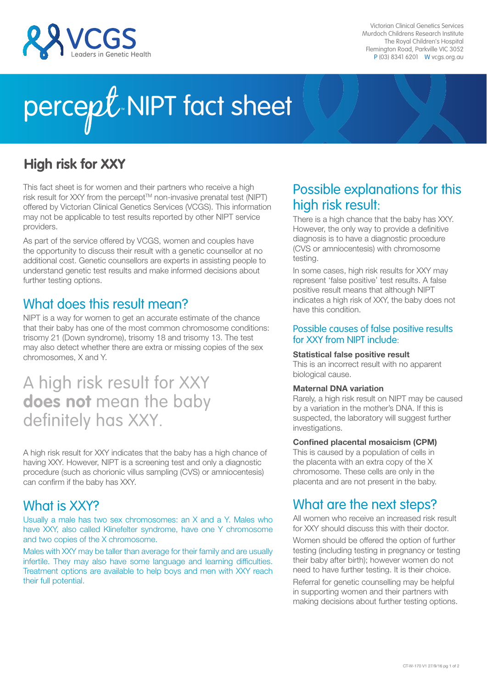

Victorian Clinical Genetics Services Murdoch Childrens Research Institute The Royal Children's Hospital Flemington Road, Parkville VIC 3052 P (03) 8341 6201 W vcgs.org.au

# percept. NIPT fact sheet

## **High risk for XXY**

This fact sheet is for women and their partners who receive a high risk result for XXY from the percept™ non-invasive prenatal test (NIPT) offered by Victorian Clinical Genetics Services (VCGS). This information may not be applicable to test results reported by other NIPT service providers.

As part of the service offered by VCGS, women and couples have the opportunity to discuss their result with a genetic counsellor at no additional cost. Genetic counsellors are experts in assisting people to understand genetic test results and make informed decisions about further testing options.

## What does this result mean?

NIPT is a way for women to get an accurate estimate of the chance that their baby has one of the most common chromosome conditions: trisomy 21 (Down syndrome), trisomy 18 and trisomy 13. The test may also detect whether there are extra or missing copies of the sex chromosomes, X and Y.

## A high risk result for XXY **does not** mean the baby definitely has XXY.

A high risk result for XXY indicates that the baby has a high chance of having XXY. However, NIPT is a screening test and only a diagnostic procedure (such as chorionic villus sampling (CVS) or amniocentesis) can confirm if the baby has XXY.

## What is XXY?

Usually a male has two sex chromosomes: an X and a Y. Males who have XXY, also called Klinefelter syndrome, have one Y chromosome and two copies of the X chromosome.

Males with XXY may be taller than average for their family and are usually infertile. They may also have some language and learning difficulties. Treatment options are available to help boys and men with XXY reach their full potential.

## Possible explanations for this high risk result:

There is a high chance that the baby has XXY. However, the only way to provide a definitive diagnosis is to have a diagnostic procedure (CVS or amniocentesis) with chromosome testing.

In some cases, high risk results for XXY may represent 'false positive' test results. A false positive result means that although NIPT indicates a high risk of XXY, the baby does not have this condition.

#### Possible causes of false positive results for XXY from NIPT include:

#### Statistical false positive result

This is an incorrect result with no apparent biological cause.

#### Maternal DNA variation

Rarely, a high risk result on NIPT may be caused by a variation in the mother's DNA. If this is suspected, the laboratory will suggest further investigations.

#### Confined placental mosaicism (CPM)

This is caused by a population of cells in the placenta with an extra copy of the X chromosome. These cells are only in the placenta and are not present in the baby.

## What are the next steps?

All women who receive an increased risk result for XXY should discuss this with their doctor.

Women should be offered the option of further testing (including testing in pregnancy or testing their baby after birth); however women do not need to have further testing. It is their choice.

Referral for genetic counselling may be helpful in supporting women and their partners with making decisions about further testing options.